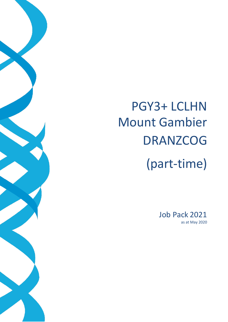# PGY3+ LCLHN Mount Gambier DRANZCOG (part-time)

Job Pack 2021 as at May 2020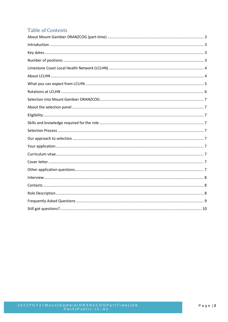# **Table of Contents**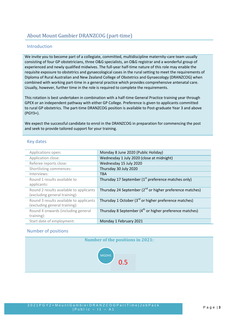# <span id="page-2-0"></span>About Mount Gambier DRANZCOG (part-time)

## Introduction

We invite you to become part of a collegiate, committed, multidiscipline maternity-care team usually consisting of four GP obstetricians, three O&G specialists, an O&G registrar and a wonderful group of experienced and newly qualified midwives. The full-year half-time nature of this role may enable the requisite exposure to obstetrics and gynaecological cases in the rural setting to meet the requirements of Diploma of Rural Australian and New Zealand College of Obstetrics and Gynaecology (DRANZCOG) when combined with working part-time in a general practice which provides comprehensive antenatal care. Usually, however, further time in the role is required to complete the requirements.

This rotation is best undertaken in combination with a half-time General Practice training year through GPEX or an independent pathway with either GP College. Preference is given to applicants committed to rural GP obstetrics. The part-time DRANZCOG position is available to Post-graduate Year 3 and above (PGY3+).

We expect the successful candidate to enrol in the DRANZCOG in preparation for commencing the post and seek to provide tailored support for your training.

## <span id="page-2-1"></span>Key dates

| Applications open:                      | Monday 8 June 2020 (Public Holiday)                                 |
|-----------------------------------------|---------------------------------------------------------------------|
| Application close:                      | Wednesday 1 July 2020 (close at midnight)                           |
| Referee reports close:                  | Wednesday 15 July 2020                                              |
| Shortlisting commences:                 | Thursday 30 July 2020                                               |
| Interviews:                             | <b>TBA</b>                                                          |
| Round 1 results available to            | Thursday 17 September (1 <sup>st</sup> preference matches only)     |
| applicants:                             |                                                                     |
| Round 2 results available to applicants | Thursday 24 September $(2^{nd}$ or higher preference matches)       |
| (excluding general training):           |                                                                     |
| Round 3 results available to applicants | Thursday 1 October (3 <sup>rd</sup> or higher preference matches)   |
| (excluding general training):           |                                                                     |
| Round 4 onwards (including general      | Thursday 8 September (4 <sup>th</sup> or higher preference matches) |
| training):                              |                                                                     |
| Start date of employment:               | Monday 1 February 2021                                              |

## <span id="page-2-2"></span>Number of positions

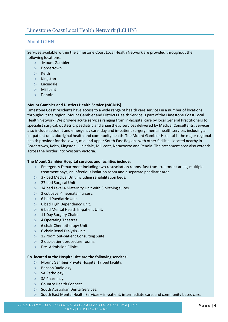## <span id="page-3-1"></span><span id="page-3-0"></span>About LCLHN

Services available within the Limestone Coast Local Health Network are provided throughout the following locations:

- Mount Gambier
- Bordertown
- $>$  Keith
- $>$  Kingston
- > Lucindale
- > Millicent
- $>$  Penola

#### **Mount Gambier and Districts Health Service (MGDHS)**

Limestone Coast residents have access to a wide range of health care services in a number of locations throughout the region. Mount Gambier and Districts Health Service is part of the Limestone Coast Local Health Network. We provide acute services ranging from in-hospital care by local General Practitioners to specialist surgical, obstetric, paediatric and anaesthetic services delivered by Medical Consultants. Services also include accident and emergency care, day and in-patient surgery, mental health services including an in- patient unit, aboriginal health and community health. The Mount Gambier Hospital is the major regional health provider for the lower, mid and upper South East Regions with other facilities located nearby in Bordertown, Keith, Kingston, Lucindale, Millicent, Naracoorte and Penola. The catchment area also extends across the border into Western Victoria.

#### **The Mount Gambier Hospital services and facilities include:**

- Emergency Department including two resuscitation rooms, fast track treatment areas, multiple treatment bays, an infectious isolation room and a separate paediatric area.
- 37 bed Medical Unit including rehabilitation beds.
- 27 bed Surgical Unit.
- $>$  14 bed Level 4 Maternity Unit with 3 birthing suites.
- $>$  2 cot Level 4 neonatal nursery.
- $> 6$  bed Paediatric Unit.
- 6 bed High Dependency Unit.
- 6 bed Mental Health In-patient Unit.
- $>11$  Day Surgery Chairs.
- > 4 Operating Theatres.
- $> 6$  chair Chemotherapy Unit.
- $> 6$  chair Renal Dialysis Unit.
- > 12 room out-patient Consulting Suite.
- 2 out-patient procedure rooms.
- Pre–Admission Clinics**.**

#### **Co–located at the Hospital site are the following services:**

- Mount Gambier Private Hospital 17 bed facility.
- $>$  Benson Radiology.
- $>$  SA Pathology.
- $>$  SA Pharmacy.
- > Country Health Connect.
- $>$  South Australian Dental Services.
- $>$  South East Mental Health Services in-patient, intermediate care, and community based care.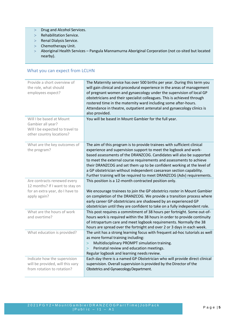- $>$  Drug and Alcohol Services.
- > Rehabilitation Service.
- > Renal Dialysis Service.
- $>$  Chemotherapy Unit.
- Aboriginal Health Services Pangula Mannamurna Aboriginal Corporation (not co-sited but located nearby).

## <span id="page-4-0"></span>What you can expect from LCLHN

| Provide a short overview of<br>the role, what should<br>employees expect? | The Maternity service has over 500 births per year. During this term you<br>will gain clinical and procedural experience in the areas of management<br>of pregnant women and gynaecology under the supervision of local GP<br>obstetricians and their specialist colleagues. This is achieved through<br>rostered time in the maternity ward including some after-hours.<br>Attendance in theatre, outpatient antenatal and gynaecology clinics is<br>also provided. |
|---------------------------------------------------------------------------|----------------------------------------------------------------------------------------------------------------------------------------------------------------------------------------------------------------------------------------------------------------------------------------------------------------------------------------------------------------------------------------------------------------------------------------------------------------------|
| Will I be based at Mount                                                  | You will be based in Mount Gambier for the full year.                                                                                                                                                                                                                                                                                                                                                                                                                |
| Gambier all year?<br>Will I be expected to travel to                      |                                                                                                                                                                                                                                                                                                                                                                                                                                                                      |
| other country locations?                                                  |                                                                                                                                                                                                                                                                                                                                                                                                                                                                      |
|                                                                           |                                                                                                                                                                                                                                                                                                                                                                                                                                                                      |
| What are the key outcomes of                                              | The aim of this program is to provide trainees with sufficient clinical                                                                                                                                                                                                                                                                                                                                                                                              |
| the program?                                                              | experience and supervision support to meet the logbook and work-                                                                                                                                                                                                                                                                                                                                                                                                     |
|                                                                           | based assessments of the DRANZCOG. Candidates will also be supported                                                                                                                                                                                                                                                                                                                                                                                                 |
|                                                                           | to meet the external course requirements and assessments to achieve                                                                                                                                                                                                                                                                                                                                                                                                  |
|                                                                           | their DRANZCOG and set them up to be confident working at the level of<br>a GP obstetrician without independent caesarean section capability.                                                                                                                                                                                                                                                                                                                        |
|                                                                           | Further training will be required to meet DRANZCOG (Adv) requirements.                                                                                                                                                                                                                                                                                                                                                                                               |
| Are contracts renewed every                                               | This position is a 12-month contracted position only.                                                                                                                                                                                                                                                                                                                                                                                                                |
| 12 months? If I want to stay on                                           |                                                                                                                                                                                                                                                                                                                                                                                                                                                                      |
| for an extra year, do I have to                                           | We encourage trainees to join the GP obstetrics roster in Mount Gambier                                                                                                                                                                                                                                                                                                                                                                                              |
| apply again?                                                              | on completion of the DRANZCOG. We provide a transition process where                                                                                                                                                                                                                                                                                                                                                                                                 |
|                                                                           | early career GP obstetricians are shadowed by an experienced GP                                                                                                                                                                                                                                                                                                                                                                                                      |
|                                                                           | obstetrician until they are confident to take on a fully independent role.                                                                                                                                                                                                                                                                                                                                                                                           |
| What are the hours of work                                                | This post requires a commitment of 38 hours per fortnight. Some out-of-                                                                                                                                                                                                                                                                                                                                                                                              |
| and overtime?                                                             | hours work is required within the 38 hours in order to provide continuity                                                                                                                                                                                                                                                                                                                                                                                            |
|                                                                           | of intrapartum care and meet logbook requirements. Normally the 38<br>hours are spread over the fortnight and over 2 or 3 days in each week.                                                                                                                                                                                                                                                                                                                         |
| What education is provided?                                               | The unit has a strong learning focus with frequent ad-hoc tutorials as well                                                                                                                                                                                                                                                                                                                                                                                          |
|                                                                           | as more formal training including:                                                                                                                                                                                                                                                                                                                                                                                                                                   |
|                                                                           | Multidisciplinary PROMPT simulation training.<br>$\rm{>}$                                                                                                                                                                                                                                                                                                                                                                                                            |
|                                                                           | Perinatal review and education meetings.<br>$\geq$                                                                                                                                                                                                                                                                                                                                                                                                                   |
|                                                                           | Regular logbook and learning needs review.                                                                                                                                                                                                                                                                                                                                                                                                                           |
| Indicate how the supervision                                              | Each day there is a named GP Obstetrician who will provide direct clinical                                                                                                                                                                                                                                                                                                                                                                                           |
| will be provided, will this vary                                          | supervision. Overall supervision is provided by the Director of the                                                                                                                                                                                                                                                                                                                                                                                                  |
| from rotation to rotation?                                                | Obstetrics and Gynaecology Department.                                                                                                                                                                                                                                                                                                                                                                                                                               |
|                                                                           |                                                                                                                                                                                                                                                                                                                                                                                                                                                                      |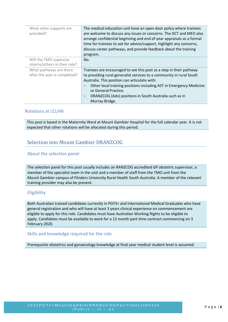| What other supports are<br>provided?                    | The medical education unit have an open door policy where trainees<br>are welcome to discuss any issues or concerns. The DCT and MEO also<br>arrange confidential beginning and end of year appraisals as a formal<br>time for trainees to ask for advice/support, highlight any concerns,<br>discuss career pathways, and provide feedback about the training<br>program.       |
|---------------------------------------------------------|----------------------------------------------------------------------------------------------------------------------------------------------------------------------------------------------------------------------------------------------------------------------------------------------------------------------------------------------------------------------------------|
| Will the TMO supervise<br>interns/others in their role? | No.                                                                                                                                                                                                                                                                                                                                                                              |
| What pathways are there<br>after the year is completed? | Trainees are encouraged to see this post as a step in their pathway<br>to providing rural generalist services to a community in rural South<br>Australia. This position can articulate with:<br>Other local training positions including AST in Emergency Medicine<br>or General Practice.<br>DRANZCOG (Adv) positions in South Australia such as in<br>$\geq$<br>Murray Bridge. |

## <span id="page-5-0"></span>Rotations at LCLHN

This post is based in the Maternity Ward at Mount Gambier Hospital for the full calendar year. It is not expected that other rotations will be allocated during this period.

## <span id="page-5-1"></span>Selection into Mount Gambier DRANZCOG

## <span id="page-5-2"></span>About the selection panel

The selection panel for this post usually includes an RANZCOG accredited GP obstetric supervisor, a member of the specialist team in the unit and a member of staff from the TMO unit from the Mount Gambier campus of Flinders University Rural Health South Australia. A member of the relevant training provider may also be present.

## <span id="page-5-3"></span>Eligibility

Both Australian trained candidates currently in PGY3+ and International Medical Graduates who have general registration and who will have at least 3 years clinical experience on commencement are eligible to apply for this role. Candidates must have Australian Working Rights to be eligible to apply. Candidates must be available to work for a 12 month part-time contract commencing on 3 February 2020.

### <span id="page-5-4"></span>Skills and knowledge required for the role

Prerequisite obstetrics and gynaecology knowledge at final year medical student level is assumed.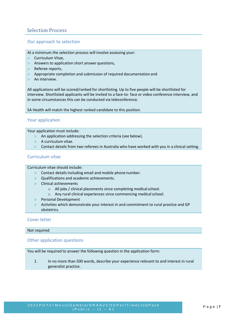# <span id="page-6-0"></span>Selection Process

## <span id="page-6-1"></span>Our approach to selection

- At a minimum the selection process will involve assessing your:
- $>$  Curriculum Vitae.
- $>$  Answers to application short answer questions,
- $>$  Referee reports.
- $>$  Appropriate completion and submission of required documentation and
- $>$  An interview.

All applications will be scored/ranked for shortlisting. Up to five people will be shortlisted for interview. Shortlisted applicants will be invited to a face-to- face or video conference interview, and in some circumstances this can be conducted via teleconference.

SA Health will match the highest ranked candidate to this position.

## <span id="page-6-2"></span>Your application

Your application must include:

- $>$  An application addressing the selection criteria (see below).
- > A curriculum vitae.
- Contact details from two referees in Australia who have worked with you in a clinical setting.

## <span id="page-6-3"></span>Curriculum vitae

Curriculum vitae should include:

- $>$  Contact details including email and mobile phone number.
- Qualifications and academic achievements.
- $>$  Clinical achievements
	- o All jobs / clinical placements since completing medicalschool.
	- o Any rural clinical experiences since commencing medicalschool.
- > Personal Development
- Activities which demonstrate your interest in and commitment to rural practice and GP obstetrics.

### <span id="page-6-4"></span>Cover letter

<span id="page-6-5"></span>Not required

### Other application questions

You will be required to answer the following question in the application form:

1. In no more than 500 words, describe your experience relevant to and interest in rural generalist practice.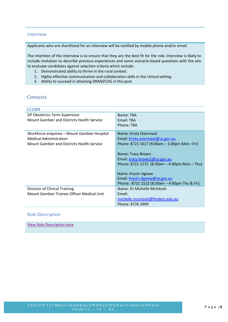## <span id="page-7-0"></span>Interview

Applicants who are shortlisted for an interview will be notified by mobile phone and/or email.

The intention of the interview is to ensure that they are the best fit for the role. Interview is likely to include invitation to describe previous experiences and some scenario-based questions with the aim to evaluate candidates against selection criteria which include:

- 1. Demonstrated ability to thrive in the rural context.
- 2. Highly effective communication and collaboration skills in the clinical setting.
- 3. Ability to succeed in attaining DRANZCOG in this post.

## <span id="page-7-1"></span>**Contacts**

| <b>LCLHN</b>                                 |                                                  |
|----------------------------------------------|--------------------------------------------------|
| <b>GP Obstetrics Term Supervisor</b>         | Name: TBA                                        |
| Mount Gambier and Districts Health Service   | <b>Fmail: TBA</b>                                |
|                                              | Phone: TBA                                       |
| Workforce enquiries - Mount Gambier Hospital | Name: Kristy Overmaat                            |
| <b>Medical Administration</b>                | Email: kristy.overmaat@sa.gov.au                 |
| Mount Gambier and Districts Health Service   | Phone: 8721 1617 (9.00am $-$ 3.00pm Mon $-Fri$ ) |
|                                              |                                                  |
|                                              | Name: Tracy Brown                                |
|                                              | Email: tracy.brown2@sa.gov.au                    |
|                                              | Phone: 8721 1572 (8:30am $-$ 4:00pm Mon $-$ Thu) |
|                                              | Name: Krystn Agnew                               |
|                                              | Email: Krystn.Agnew@sa.gov.au                    |
|                                              | Phone: 8721 1522 (8:30am $-$ 4:00pm Thu & Fri)   |
| Director of Clinical Training                | Name: Dr Michelle McIntosh                       |
| Mount Gambier Trainee Officer Medical Unit   | Fmail:                                           |
|                                              | michelle.mcintosh@flinders.edu.au                |
|                                              | Phone: 8726 3999                                 |

### <span id="page-7-2"></span>Role Description

[View Role Description here](https://www.samet.org.au/wp-content/uploads/2017/03/DRANZCOG-Trainee-Role-Description.pdf)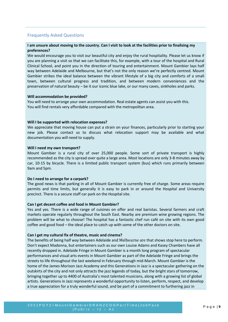## <span id="page-8-0"></span>Frequently Asked Questions

### **I am unsure about moving to the country. Can I visit to look at the facilities prior to finalising my preferences?**

We would encourage you to visit our beautiful city and enjoy the rural hospitality. Please let us know if you are planning a visit so that we can facilitate this, for example, with a tour of the hospital and Rural Clinical School, and point you in the direction of touring and entertainment. Mount Gambier lays half way between Adelaide and Melbourne, but that's not the only reason we're perfectly centred. Mount Gambier strikes the ideal balance between the vibrant lifestyle of a big city and comforts of a small town, between cultural progress and tradition, and between modern conveniences and the preservation of natural beauty – be it our iconic blue lake, or our many caves, sinkholes and parks.

#### **Will accommodation be provided?**

You will need to arrange your own accommodation. Real estate agents can assist you with this. You will find rentals very affordable compared with the metropolitan area.

#### **Will I be supported with relocation expenses?**

We appreciate that moving house can put a strain on your finances, particularly prior to starting your new job. Please contact us to discuss what relocation support may be available and what documentation you will need to supply.

#### **Will I need my own transport?**

Mount Gambier is a rural city of over 25,000 people. Some sort of private transport is highly recommended as the city is spread over quite a large area. Most locations are only 3-8 minutes away by car, 10-15 by bicycle. There is a limited public transport system (bus) which runs primarily between 9am and 5pm.

#### **Do I need to arrange for a carpark?**

The good news is that parking in all of Mount Gambier is currently free of charge. Some areas require permits and time limits, but generally it is easy to park in or around the Hospital and University precinct. There is a secure staff car park on the Hospital site.

### **Can I get decent coffee and food in Mount Gambier?**

Yes and yes. There is a wide range of cuisines on offer and real baristas. Several farmers and craft markets operate regularly throughout the South East. Nearby are premium wine growing regions. The problem will be what to choose! The hospital has a fantastic chef run café on site with its own good coffee and good food – the ideal place to catch up with some of the other doctors on site.

#### **Can I get my cultural fix of theatre, music and cinema?**

The benefits of being half way between Adelaide and Melbourne are that shows stop here to perform. Don't expect Madonna, but entertainers such as our own Louise Adams and Kasey Chambers have all recently dropped in. Adelaide Fringe in Mount Gambier is a month long program of spectacular performances and visual arts events in Mount Gambier as part of the Adelaide Fringe and brings the streets to life throughout the last weekend in February through mid-March. Mount Gambier is the home of the James Morison Jazz Academy and this Generations in Jazz is a spectacular gathering on the outskirts of the city and not only attracts the jazz legends of today, but the bright stars of tomorrow, bringing together up to 4400 of Australia's most talented musicians, along with a growing list of global artists. Generations in Jazz represents a wonderful opportunity to listen, perform, respect, and develop a true appreciation for a truly wonderful sound, and be part of a commitment to furthering jazz in